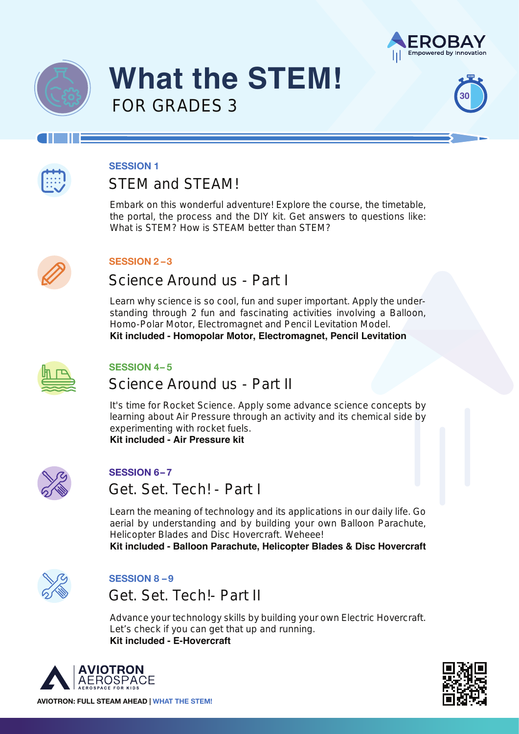



# **What the STEM!**  FOR GRADES 3





#### **SESSION 1**

### STEM and STEAM!

Embark on this wonderful adventure! Explore the course, the timetable, the portal, the process and the DIY kit. Get answers to questions like: What is STEM? How is STEAM better than STEM?



### **SESSION 2 –3**

### Science Around us - Part I

Learn why science is so cool, fun and super important. Apply the understanding through 2 fun and fascinating activities involving a Balloon, Homo-Polar Motor, Electromagnet and Pencil Levitation Model. **Kit included - Homopolar Motor, Electromagnet, Pencil Levitation**



### **SESSION 4– 5**

# Science Around us - Part II

It's time for Rocket Science. Apply some advance science concepts by learning about Air Pressure through an activity and its chemical side by experimenting with rocket fuels.

**Kit included - Air Pressure kit**



### **SESSION 6– 7**

Get. Set. Tech! - Part I

Learn the meaning of technology and its applications in our daily life. Go aerial by understanding and by building your own Balloon Parachute, Helicopter Blades and Disc Hovercraft. Weheee!

**Kit included - Balloon Parachute, Helicopter Blades & Disc Hovercraft**



### **SESSION 8 – 9**

Get. Set. Tech!- Part II

Advance your technology skills by building your own Electric Hovercraft. Let's check if you can get that up and running. **Kit included - E-Hovercraft**



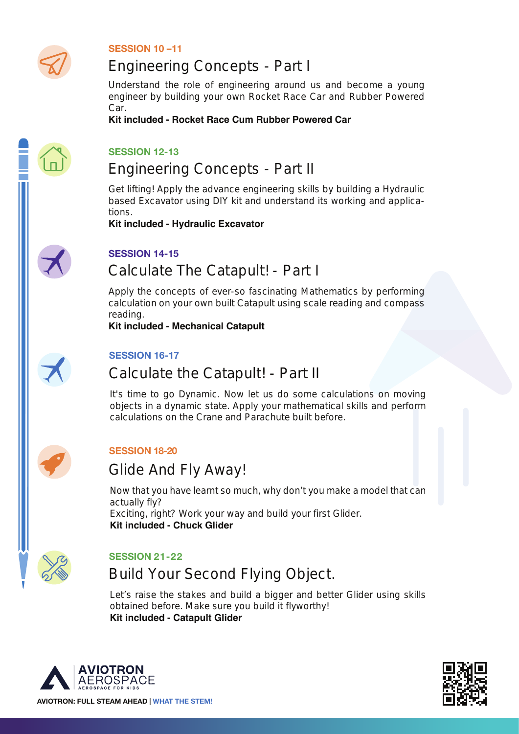

#### **SESSION 10 –11**

# Engineering Concepts - Part I

Understand the role of engineering around us and become a young engineer by building your own Rocket Race Car and Rubber Powered Car.

**Kit included - Rocket Race Cum Rubber Powered Car**



#### **SESSION 12-13**

### Engineering Concepts - Part II

Get lifting! Apply the advance engineering skills by building a Hydraulic based Excavator using DIY kit and understand its working and applications.

**Kit included - Hydraulic Excavator**



### **SESSION 14-15**

### Calculate The Catapult! - Part I

Apply the concepts of ever-so fascinating Mathematics by performing calculation on your own built Catapult using scale reading and compass reading.

**Kit included - Mechanical Catapult**



#### **SESSION 16-17**

### Calculate the Catapult! - Part II

It's time to go Dynamic. Now let us do some calculations on moving objects in a dynamic state. Apply your mathematical skills and perform calculations on the Crane and Parachute built before.



#### **SESSION 18-20**

### Glide And Fly Away!

Now that you have learnt so much, why don't you make a model that can actually fly? Exciting, right? Work your way and build your first Glider. **Kit included - Chuck Glider**



### **SESSION 21-22**

Build Your Second Flying Object.

Let's raise the stakes and build a bigger and better Glider using skills obtained before. Make sure you build it flyworthy! **Kit included - Catapult Glider**